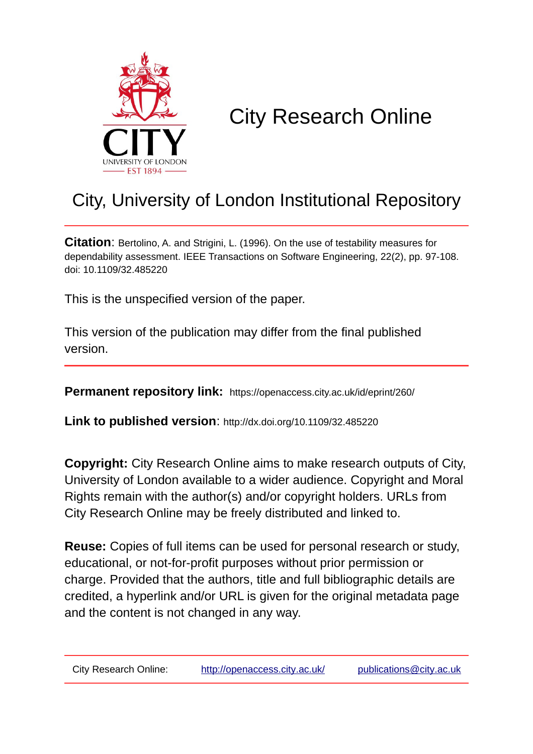

# City Research Online

## City, University of London Institutional Repository

**Citation**: Bertolino, A. and Strigini, L. (1996). On the use of testability measures for dependability assessment. IEEE Transactions on Software Engineering, 22(2), pp. 97-108. doi: 10.1109/32.485220

This is the unspecified version of the paper.

This version of the publication may differ from the final published version.

**Permanent repository link:** https://openaccess.city.ac.uk/id/eprint/260/

**Link to published version**: http://dx.doi.org/10.1109/32.485220

**Copyright:** City Research Online aims to make research outputs of City, University of London available to a wider audience. Copyright and Moral Rights remain with the author(s) and/or copyright holders. URLs from City Research Online may be freely distributed and linked to.

**Reuse:** Copies of full items can be used for personal research or study, educational, or not-for-profit purposes without prior permission or charge. Provided that the authors, title and full bibliographic details are credited, a hyperlink and/or URL is given for the original metadata page and the content is not changed in any way.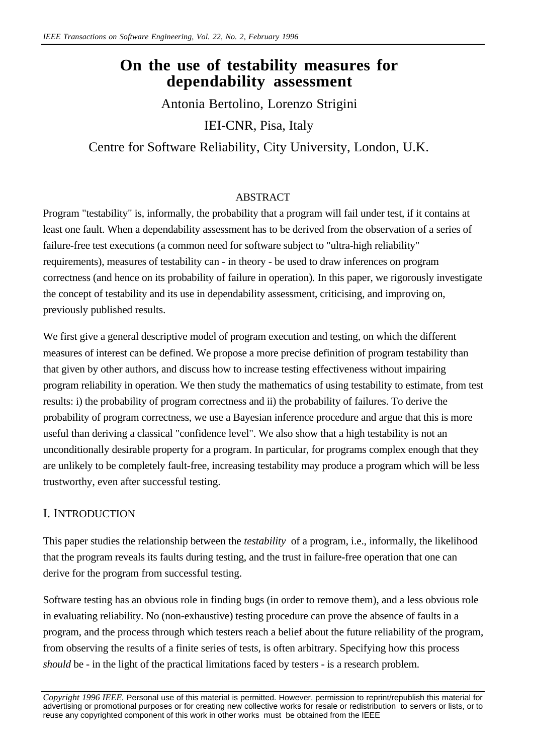## **On the use of testability measures for dependability assessment**

Antonia Bertolino, Lorenzo Strigini IEI-CNR, Pisa, Italy Centre for Software Reliability, City University, London, U.K.

## ABSTRACT

Program "testability" is, informally, the probability that a program will fail under test, if it contains at least one fault. When a dependability assessment has to be derived from the observation of a series of failure-free test executions (a common need for software subject to "ultra-high reliability" requirements), measures of testability can - in theory - be used to draw inferences on program correctness (and hence on its probability of failure in operation). In this paper, we rigorously investigate the concept of testability and its use in dependability assessment, criticising, and improving on, previously published results.

We first give a general descriptive model of program execution and testing, on which the different measures of interest can be defined. We propose a more precise definition of program testability than that given by other authors, and discuss how to increase testing effectiveness without impairing program reliability in operation. We then study the mathematics of using testability to estimate, from test results: i) the probability of program correctness and ii) the probability of failures. To derive the probability of program correctness, we use a Bayesian inference procedure and argue that this is more useful than deriving a classical "confidence level". We also show that a high testability is not an unconditionally desirable property for a program. In particular, for programs complex enough that they are unlikely to be completely fault-free, increasing testability may produce a program which will be less trustworthy, even after successful testing.

## I. INTRODUCTION

This paper studies the relationship between the *testability* of a program, i.e., informally, the likelihood that the program reveals its faults during testing, and the trust in failure-free operation that one can derive for the program from successful testing.

Software testing has an obvious role in finding bugs (in order to remove them), and a less obvious role in evaluating reliability. No (non-exhaustive) testing procedure can prove the absence of faults in a program, and the process through which testers reach a belief about the future reliability of the program, from observing the results of a finite series of tests, is often arbitrary. Specifying how this process *should* be - in the light of the practical limitations faced by testers - is a research problem.

*Copyright 1996 IEEE.* Personal use of this material is permitted. However, permission to reprint/republish this material for advertising or promotional purposes or for creating new collective works for resale or redistribution to servers or lists, or to reuse any copyrighted component of this work in other works must be obtained from the IEEE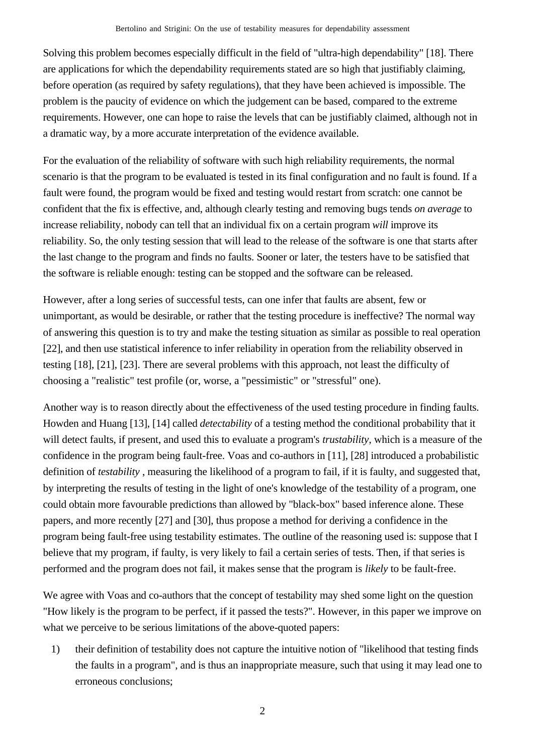Solving this problem becomes especially difficult in the field of "ultra-high dependability" [18]. There are applications for which the dependability requirements stated are so high that justifiably claiming, before operation (as required by safety regulations), that they have been achieved is impossible. The problem is the paucity of evidence on which the judgement can be based, compared to the extreme requirements. However, one can hope to raise the levels that can be justifiably claimed, although not in a dramatic way, by a more accurate interpretation of the evidence available.

For the evaluation of the reliability of software with such high reliability requirements, the normal scenario is that the program to be evaluated is tested in its final configuration and no fault is found. If a fault were found, the program would be fixed and testing would restart from scratch: one cannot be confident that the fix is effective, and, although clearly testing and removing bugs tends *on average* to increase reliability, nobody can tell that an individual fix on a certain program *will* improve its reliability. So, the only testing session that will lead to the release of the software is one that starts after the last change to the program and finds no faults. Sooner or later, the testers have to be satisfied that the software is reliable enough: testing can be stopped and the software can be released.

However, after a long series of successful tests, can one infer that faults are absent, few or unimportant, as would be desirable, or rather that the testing procedure is ineffective? The normal way of answering this question is to try and make the testing situation as similar as possible to real operation [22], and then use statistical inference to infer reliability in operation from the reliability observed in testing [18], [21], [23]. There are several problems with this approach, not least the difficulty of choosing a "realistic" test profile (or, worse, a "pessimistic" or "stressful" one).

Another way is to reason directly about the effectiveness of the used testing procedure in finding faults. Howden and Huang [13], [14] called *detectability* of a testing method the conditional probability that it will detect faults, if present, and used this to evaluate a program's *trustability*, which is a measure of the confidence in the program being fault-free. Voas and co-authors in [11], [28] introduced a probabilistic definition of *testability* , measuring the likelihood of a program to fail, if it is faulty, and suggested that, by interpreting the results of testing in the light of one's knowledge of the testability of a program, one could obtain more favourable predictions than allowed by "black-box" based inference alone. These papers, and more recently [27] and [30], thus propose a method for deriving a confidence in the program being fault-free using testability estimates. The outline of the reasoning used is: suppose that I believe that my program, if faulty, is very likely to fail a certain series of tests. Then, if that series is performed and the program does not fail, it makes sense that the program is *likely* to be fault-free.

We agree with Voas and co-authors that the concept of testability may shed some light on the question "How likely is the program to be perfect, if it passed the tests?". However, in this paper we improve on what we perceive to be serious limitations of the above-quoted papers:

1) their definition of testability does not capture the intuitive notion of "likelihood that testing finds the faults in a program", and is thus an inappropriate measure, such that using it may lead one to erroneous conclusions;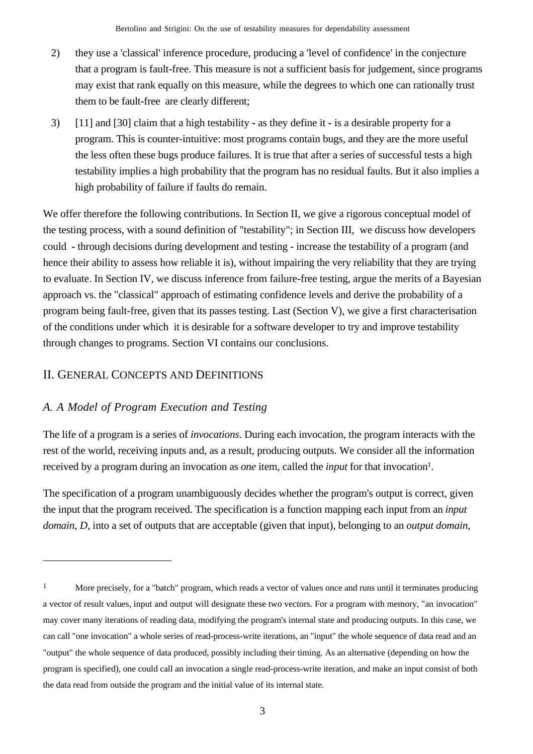- 2) they use a 'classical' inference procedure, producing a 'level of confidence' in the conjecture that a program is fault-free. This measure is not a sufficient basis for judgement, since programs may exist that rank equally on this measure, while the degrees to which one can rationally trust them to be fault-free are clearly different;
- 3) [11] and [30] claim that a high testability as they define itis a desirable property for a program. This is counter-intuitive: most programs contain bugs, and they are the more useful the less often these bugs produce failures. It is true that after a series of successful tests a high testability implies a high probability that the program has no residual faults. But it also implies a high probability of failure if faults do remain.

We offer therefore the following contributions. In Section II, we give a rigorous conceptual model of the testing process, with a sound definition of "testability"; in Section III, we discuss how developers could - through decisions during development and testing - increase the testability of a program (and hence their ability to assess how reliable it is), without impairing the very reliability that they are trying to evaluate. In Section IV, we discuss inference from failure-free testing, argue the merits of a Bayesian approach vs. the "classical" approach of estimating confidence levels and derive the probability of a program being fault-free, given that its passes testing. Last (Section V), we give a first characterisation of the conditions under which it is desirable for a software developer to try and improve testability through changes to programs. Section VI contains our conclusions.

## II. GENERAL CONCEPTS AND DEFINITIONS

## *A. A Model of Program Execution and Testing*

The life of a program is a series of *invocations*. During each invocation, the program interacts with the rest of the world, receiving inputs and, as a result, producing outputs. We consider all the information received by a program during an invocation as *one* item, called the *input* for that invocation<sup>1</sup>.

The specification of a program unambiguously decides whether the program's output is correct, given the input that the program received. The specification is a function mapping each input from an *input domain*, *D*, into a set of outputs that are acceptable (given that input), belonging to an *output domain*,

<sup>&</sup>lt;sup>1</sup> More precisely, for a "batch" program, which reads a vector of values once and runs until it terminates producing a vector of result values, input and output will designate these two vectors. For a program with memory, "an invocation" may cover many iterations of reading data, modifying the program's internal state and producing outputs. In this case, we can call "one invocation" a whole series of read-process-write iterations, an "input" the whole sequence of data read and an "output" the whole sequence of data produced, possibly including their timing. As an alternative (depending on how the program is specified), one could call an invocation a single read-process-write iteration, and make an input consist of both the data read from outside the program and the initial value of its internal state.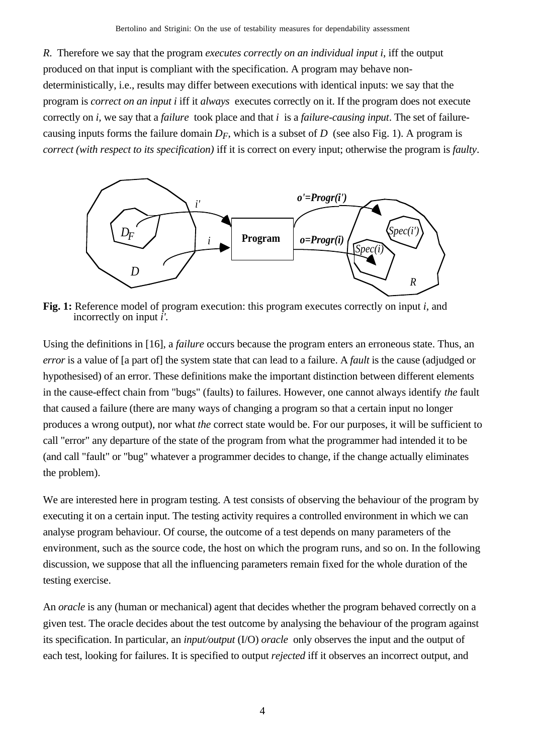*R*. Therefore we say that the program *executes correctly on an individual input i*, iff the output produced on that input is compliant with the specification. A program may behave nondeterministically, i.e., results may differ between executions with identical inputs: we say that the program is *correct on an input i* iff it *always* executes correctly on it. If the program does not execute correctly on *i,* we say that a *failure* took place and that *i* is a *failure-causing input*. The set of failurecausing inputs forms the failure domain  $D_F$ , which is a subset of *D* (see also Fig. 1). A program is *correct (with respect to its specification)* iff it is correct on every input; otherwise the program is *faulty*.



**Fig. 1:** Reference model of program execution: this program executes correctly on input *i*, and incorrectly on input *i'.*

Using the definitions in [16], a *failure* occurs because the program enters an erroneous state. Thus, an *error* is a value of [a part of] the system state that can lead to a failure. A *fault* is the cause (adjudged or hypothesised) of an error. These definitions make the important distinction between different elements in the cause-effect chain from "bugs" (faults) to failures. However, one cannot always identify *the* fault that caused a failure (there are many ways of changing a program so that a certain input no longer produces a wrong output), nor what *the* correct state would be. For our purposes, it will be sufficient to call "error" any departure of the state of the program from what the programmer had intended it to be (and call "fault" or "bug" whatever a programmer decides to change, if the change actually eliminates the problem).

We are interested here in program testing. A test consists of observing the behaviour of the program by executing it on a certain input. The testing activity requires a controlled environment in which we can analyse program behaviour. Of course, the outcome of a test depends on many parameters of the environment, such as the source code, the host on which the program runs, and so on. In the following discussion, we suppose that all the influencing parameters remain fixed for the whole duration of the testing exercise.

An *oracle* is any (human or mechanical) agent that decides whether the program behaved correctly on a given test. The oracle decides about the test outcome by analysing the behaviour of the program against its specification. In particular, an *input/output* (I/O) *oracle* only observes the input and the output of each test, looking for failures. It is specified to output *rejected* iff it observes an incorrect output, and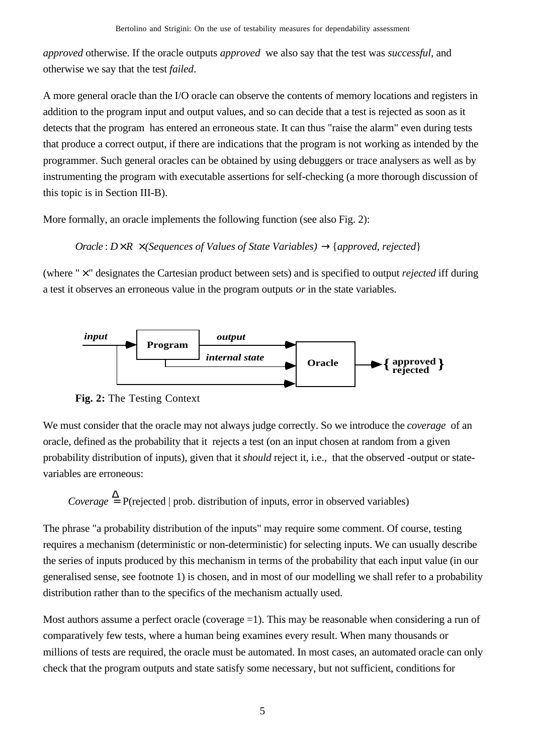*approved* otherwise. If the oracle outputs *approved* we also say that the test was *successful*, and otherwise we say that the test *failed*.

A more general oracle than the I/O oracle can observe the contents of memory locations and registers in addition to the program input and output values, and so can decide that a test is rejected as soon as it detects that the program has entered an erroneous state. It can thus "raise the alarm" even during tests that produce a correct output, if there are indications that the program is not working as intended by the programmer. Such general oracles can be obtained by using debuggers or trace analysers as well as by instrumenting the program with executable assertions for self-checking (a more thorough discussion of this topic is in Section III-B).

More formally, an oracle implements the following function (see also Fig. 2):

*Oracle* :  $D \times R \times (Sequences of Values of State Variables) \rightarrow \{ approved, rejected\}$ 

(where " ×" designates the Cartesian product between sets) and is specified to output *rejected* iff during a test it observes an erroneous value in the program outputs *or* in the state variables.



**Fig. 2:** The Testing Context

We must consider that the oracle may not always judge correctly. So we introduce the *coverage* of an oracle, defined as the probability that it rejects a test (on an input chosen at random from a given probability distribution of inputs), given that it *should* reject it, i.e., that the observed -output or statevariables are erroneous:

*Coverage*  $\triangleq$  P(rejected | prob. distribution of inputs, error in observed variables)

The phrase "a probability distribution of the inputs" may require some comment. Of course, testing requires a mechanism (deterministic or non-deterministic) for selecting inputs. We can usually describe the series of inputs produced by this mechanism in terms of the probability that each input value (in our generalised sense, see footnote 1) is chosen, and in most of our modelling we shall refer to a probability distribution rather than to the specifics of the mechanism actually used.

Most authors assume a perfect oracle (coverage  $=1$ ). This may be reasonable when considering a run of comparatively few tests, where a human being examines every result. When many thousands or millions of tests are required, the oracle must be automated. In most cases, an automated oracle can only check that the program outputs and state satisfy some necessary, but not sufficient, conditions for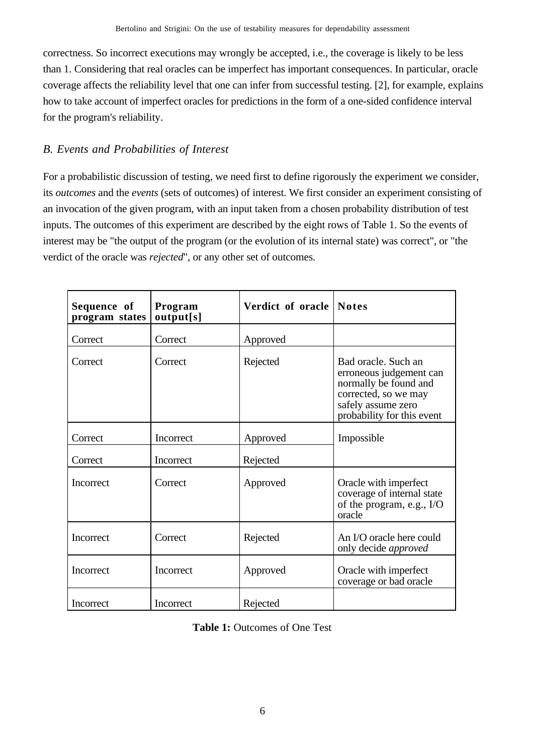correctness. So incorrect executions may wrongly be accepted, i.e., the coverage is likely to be less than 1. Considering that real oracles can be imperfect has important consequences. In particular, oracle coverage affects the reliability level that one can infer from successful testing. [2], for example, explains how to take account of imperfect oracles for predictions in the form of a one-sided confidence interval for the program's reliability.

## *B. Events and Probabilities of Interest*

For a probabilistic discussion of testing, we need first to define rigorously the experiment we consider, its *outcomes* and the *events* (sets of outcomes) of interest. We first consider an experiment consisting of an invocation of the given program, with an input taken from a chosen probability distribution of test inputs. The outcomes of this experiment are described by the eight rows of Table 1. So the events of interest may be "the output of the program (or the evolution of its internal state) was correct", or "the verdict of the oracle was *rejected*", or any other set of outcomes.

| Sequence of<br>program states | Program<br>output[s] | Verdict of oracle | <b>Notes</b>                                                                                                                                        |
|-------------------------------|----------------------|-------------------|-----------------------------------------------------------------------------------------------------------------------------------------------------|
| Correct                       | Correct              | Approved          |                                                                                                                                                     |
| Correct                       | Correct              | Rejected          | Bad oracle. Such an<br>erroneous judgement can<br>normally be found and<br>corrected, so we may<br>safely assume zero<br>probability for this event |
| Correct                       | Incorrect            | Approved          | Impossible                                                                                                                                          |
| Correct                       | Incorrect            | Rejected          |                                                                                                                                                     |
| Incorrect                     | Correct              | Approved          | Oracle with imperfect<br>coverage of internal state<br>of the program, e.g., I/O<br>oracle                                                          |
| Incorrect                     | Correct              | Rejected          | An I/O oracle here could<br>only decide <i>approved</i>                                                                                             |
| Incorrect                     | Incorrect            | Approved          | Oracle with imperfect<br>coverage or bad oracle                                                                                                     |
| Incorrect                     | Incorrect            | Rejected          |                                                                                                                                                     |

**Table 1:** Outcomes of One Test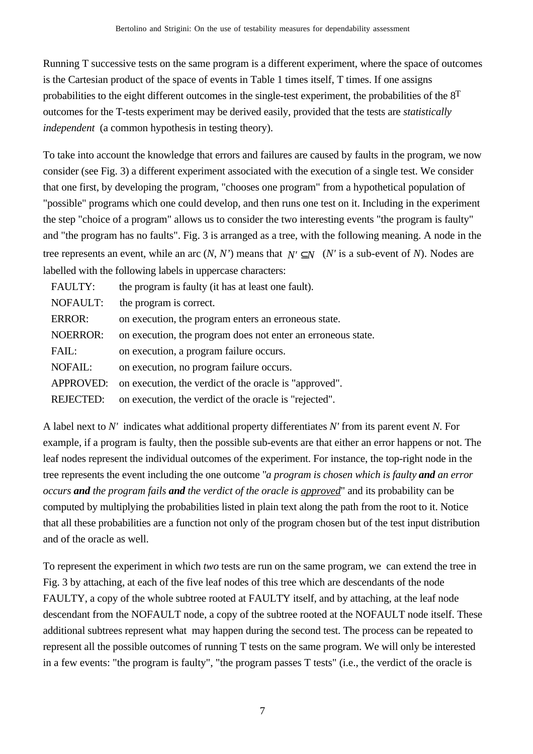Running T successive tests on the same program is a different experiment, where the space of outcomes is the Cartesian product of the space of events in Table 1 times itself, T times. If one assigns probabilities to the eight different outcomes in the single-test experiment, the probabilities of the 8T outcomes for the T-tests experiment may be derived easily, provided that the tests are *statistically independent* (a common hypothesis in testing theory).

To take into account the knowledge that errors and failures are caused by faults in the program, we now consider (see Fig. 3) a different experiment associated with the execution of a single test. We consider that one first, by developing the program, "chooses one program" from a hypothetical population of "possible" programs which one could develop, and then runs one test on it. Including in the experiment the step "choice of a program" allows us to consider the two interesting events "the program is faulty" and "the program has no faults". Fig. 3 is arranged as a tree, with the following meaning. A node in the tree represents an event, while an arc  $(N, N')$  means that  $N' \subset N$   $(N'$  is a sub-event of *N*). Nodes are labelled with the following labels in uppercase characters:

| <b>FAULTY:</b>   | the program is faulty (it has at least one fault).           |
|------------------|--------------------------------------------------------------|
| <b>NOFAULT:</b>  | the program is correct.                                      |
| <b>ERROR:</b>    | on execution, the program enters an erroneous state.         |
| <b>NOERROR:</b>  | on execution, the program does not enter an erroneous state. |
| FAIL:            | on execution, a program failure occurs.                      |
| NOFAIL:          | on execution, no program failure occurs.                     |
| <b>APPROVED:</b> | on execution, the verdict of the oracle is "approved".       |
| <b>REJECTED:</b> | on execution, the verdict of the oracle is "rejected".       |

A label next to *N'* indicates what additional property differentiates *N'* from its parent event *N*. For example, if a program is faulty, then the possible sub-events are that either an error happens or not. The leaf nodes represent the individual outcomes of the experiment. For instance, the top-right node in the tree represents the event including the one outcome "*a program is chosen which is faulty and an error occurs and the program fails and the verdict of the oracle is approved*" and its probability can be computed by multiplying the probabilities listed in plain text along the path from the root to it. Notice that all these probabilities are a function not only of the program chosen but of the test input distribution and of the oracle as well.

To represent the experiment in which *two* tests are run on the same program, we can extend the tree in Fig. 3 by attaching, at each of the five leaf nodes of this tree which are descendants of the node FAULTY, a copy of the whole subtree rooted at FAULTY itself, and by attaching, at the leaf node descendant from the NOFAULT node, a copy of the subtree rooted at the NOFAULT node itself. These additional subtrees represent what may happen during the second test. The process can be repeated to represent all the possible outcomes of running T tests on the same program. We will only be interested in a few events: "the program is faulty", "the program passes T tests" (i.e., the verdict of the oracle is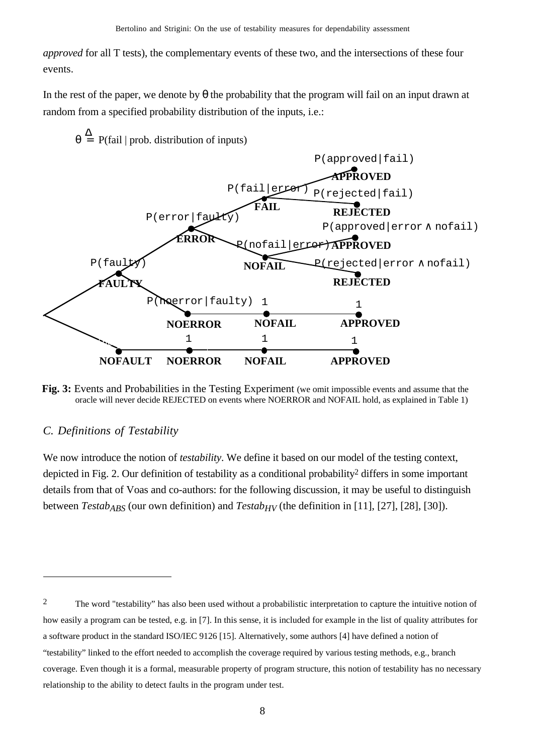*approved* for all T tests), the complementary events of these two, and the intersections of these four events.

In the rest of the paper, we denote by  $\theta$  the probability that the program will fail on an input drawn at random from a specified probability distribution of the inputs, i.e.:





**Fig. 3:** Events and Probabilities in the Testing Experiment (we omit impossible events and assume that the oracle will never decide REJECTED on events where NOERROR and NOFAIL hold, as explained in Table 1)

#### *C. Definitions of Testability*

We now introduce the notion of *testability*. We define it based on our model of the testing context, depicted in Fig. 2. Our definition of testability as a conditional probability2 differs in some important details from that of Voas and co-authors: for the following discussion, it may be useful to distinguish between *Testab<sub>ABS</sub>* (our own definition) and *Testab<sub>HV</sub>* (the definition in [11], [27], [28], [30]).

<sup>&</sup>lt;sup>2</sup> The word "testability" has also been used without a probabilistic interpretation to capture the intuitive notion of how easily a program can be tested, e.g. in [7]. In this sense, it is included for example in the list of quality attributes for a software product in the standard ISO/IEC 9126 [15]. Alternatively, some authors [4] have defined a notion of "testability" linked to the effort needed to accomplish the coverage required by various testing methods, e.g., branch coverage. Even though it is a formal, measurable property of program structure, this notion of testability has no necessary relationship to the ability to detect faults in the program under test.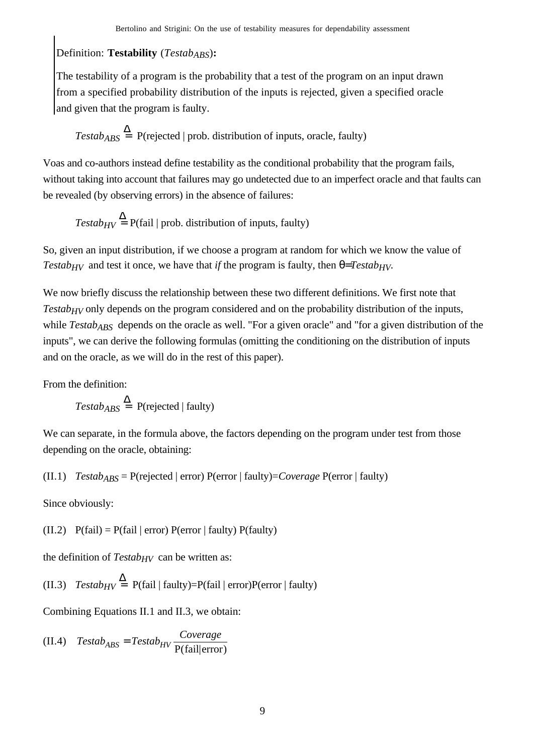## Definition: **Testability** (*TestabABS*)**:**

The testability of a program is the probability that a test of the program on an input drawn from a specified probability distribution of the inputs is rejected, given a specified oracle and given that the program is faulty.

$$
Testab_{ABS} \stackrel{\Delta}{=} \text{P(rejected} \mid \text{prob. distribution of inputs, oracle, faulty)}
$$

Voas and co-authors instead define testability as the conditional probability that the program fails, without taking into account that failures may go undetected due to an imperfect oracle and that faults can be revealed (by observing errors) in the absence of failures:

$$
Testab_{HV} \stackrel{\Delta}{=} P(fail \mid prob. \text{ distribution of inputs, faulty)}
$$

So, given an input distribution, if we choose a program at random for which we know the value of *Testab<sub>HV</sub>* and test it once, we have that *if* the program is faulty, then  $\theta$ =*Testab<sub>HV</sub>*.

We now briefly discuss the relationship between these two different definitions. We first note that *Testab<sub>HV</sub>* only depends on the program considered and on the probability distribution of the inputs, while *Testab<sub>ABS</sub>* depends on the oracle as well. "For a given oracle" and "for a given distribution of the inputs", we can derive the following formulas (omitting the conditioning on the distribution of inputs and on the oracle, as we will do in the rest of this paper).

From the definition:

 $Testab_{ABS} \triangleq$  P(rejected | faulty)

We can separate, in the formula above, the factors depending on the program under test from those depending on the oracle, obtaining:

(II.1) 
$$
Testab_{ABS} = P(rejected | error) P(error | faulty) = Coverage P(error | faulty)
$$

Since obviously:

(II.2)  $P(fail) = P(fail | error) P(error | faulty) P(faulty)$ 

the definition of  $Testab_{HV}$  can be written as:

(II.3)  $Testab_{HV} \stackrel{\Delta}{=} P(fail \mid faulty) = P(fail \mid error)P(error \mid faulty)$ 

Combining Equations II.1 and II.3, we obtain:

(II.4)  $Testab_{ABS} = Testab_{HV} \frac{Coverage}{P(f_{c},H)}$ P(fail|error)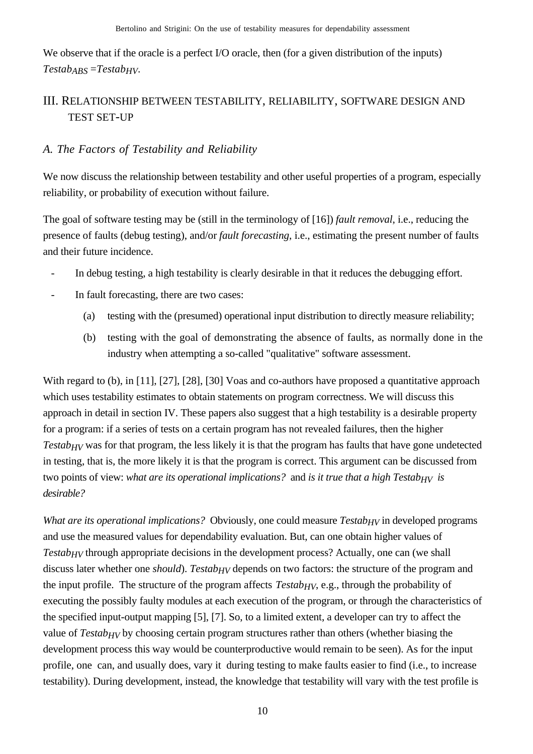We observe that if the oracle is a perfect I/O oracle, then (for a given distribution of the inputs) *TestabABS* =*TestabHV*.

## III. RELATIONSHIP BETWEEN TESTABILITY, RELIABILITY, SOFTWARE DESIGN AND TEST SET-UP

#### *A. The Factors of Testability and Reliability*

We now discuss the relationship between testability and other useful properties of a program, especially reliability, or probability of execution without failure.

The goal of software testing may be (still in the terminology of [16]) *fault removal*, i.e., reducing the presence of faults (debug testing), and/or *fault forecasting*, i.e., estimating the present number of faults and their future incidence.

- In debug testing, a high testability is clearly desirable in that it reduces the debugging effort.
- In fault forecasting, there are two cases:
	- (a) testing with the (presumed) operational input distribution to directly measure reliability;
	- (b) testing with the goal of demonstrating the absence of faults, as normally done in the industry when attempting a so-called "qualitative" software assessment.

With regard to (b), in [11], [27], [28], [30] Voas and co-authors have proposed a quantitative approach which uses testability estimates to obtain statements on program correctness. We will discuss this approach in detail in section IV. These papers also suggest that a high testability is a desirable property for a program: if a series of tests on a certain program has not revealed failures, then the higher *Testab<sub>HV</sub>* was for that program, the less likely it is that the program has faults that have gone undetected in testing, that is, the more likely it is that the program is correct. This argument can be discussed from two points of view: *what are its operational implications?* and *is it true that a high Testab<sub>HV</sub> is desirable?*

*What are its operational implications?* Obviously, one could measure *Testab<sub>HV</sub>* in developed programs and use the measured values for dependability evaluation. But, can one obtain higher values of *Testab<sub>HV</sub>* through appropriate decisions in the development process? Actually, one can (we shall discuss later whether one *should*). *TestabHV* depends on two factors: the structure of the program and the input profile. The structure of the program affects *Testab<sub>HV</sub>*, e.g., through the probability of executing the possibly faulty modules at each execution of the program, or through the characteristics of the specified input-output mapping [5], [7]. So, to a limited extent, a developer can try to affect the value of *Testab<sub>HV</sub>* by choosing certain program structures rather than others (whether biasing the development process this way would be counterproductive would remain to be seen). As for the input profile, one can, and usually does, vary it during testing to make faults easier to find (i.e., to increase testability). During development, instead, the knowledge that testability will vary with the test profile is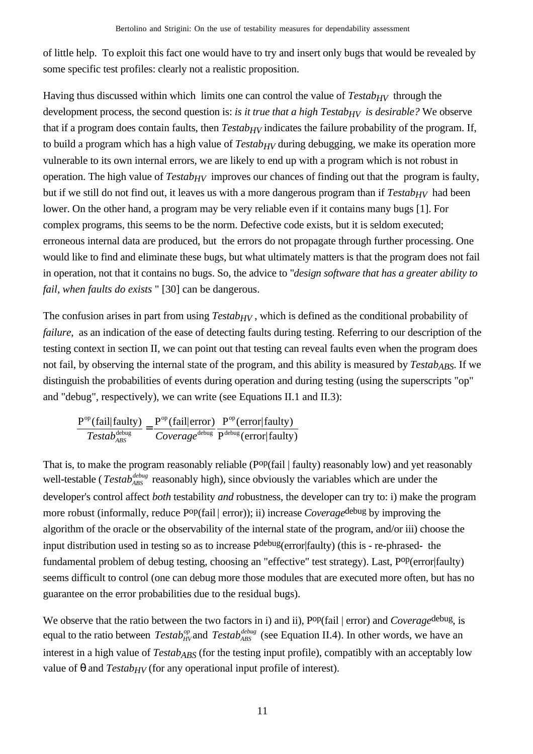of little help. To exploit this fact one would have to try and insert only bugs that would be revealed by some specific test profiles: clearly not a realistic proposition.

Having thus discussed within which limits one can control the value of  $Testab_{HV}$  through the development process, the second question is: *is it true that a high Testab<sub>HV</sub> is desirable?* We observe that if a program does contain faults, then *Testab<sub>HV</sub>* indicates the failure probability of the program. If, to build a program which has a high value of *Testab<sub>HV</sub>* during debugging, we make its operation more vulnerable to its own internal errors, we are likely to end up with a program which is not robust in operation. The high value of *Testab<sub>HV</sub>* improves our chances of finding out that the program is faulty, but if we still do not find out, it leaves us with a more dangerous program than if  $Testab_{HV}$  had been lower. On the other hand, a program may be very reliable even if it contains many bugs [1]. For complex programs, this seems to be the norm. Defective code exists, but it is seldom executed; erroneous internal data are produced, but the errors do not propagate through further processing. One would like to find and eliminate these bugs, but what ultimately matters is that the program does not fail in operation, not that it contains no bugs. So, the advice to "*design software that has a greater ability to fail, when faults do exists* " [30] can be dangerous.

The confusion arises in part from using  $Testab_{HV}$ , which is defined as the conditional probability of *failure*, as an indication of the ease of detecting faults during testing. Referring to our description of the testing context in section II, we can point out that testing can reveal faults even when the program does not fail, by observing the internal state of the program, and this ability is measured by *Testab<sub>ABS</sub>*. If we distinguish the probabilities of events during operation and during testing (using the superscripts "op" and "debug", respectively), we can write (see Equations II.1 and II.3):

$$
\frac{P^{op}(\text{fail}|\text{faulty})}{\text{Testab}_{\text{ABS}}^{\text{debug}}} = \frac{P^{op}(\text{fail}|\text{error})}{\text{Coverage}^{\text{debug}}}\frac{P^{op}(\text{error}|\text{faulty})}{P^{\text{debug}}(\text{error}|\text{ faulty})}
$$

That is, to make the program reasonably reliable (P<sup>op</sup>(fail | faulty) reasonably low) and yet reasonably well-testable (*Testab*<sup>debug</sup> reasonably high), since obviously the variables which are under the developer's control affect *both* testability *and* robustness, the developer can try to: i) make the program more robust (informally, reduce Pop(fail | error)); ii) increase *Coverage*debug by improving the algorithm of the oracle or the observability of the internal state of the program, and/or iii) choose the input distribution used in testing so as to increase  $P^{\text{debug}}(error | \text{faulty})$  (this is - re-phrased- the fundamental problem of debug testing, choosing an "effective" test strategy). Last, P<sup>op</sup>(error|faulty) seems difficult to control (one can debug more those modules that are executed more often, but has no guarantee on the error probabilities due to the residual bugs).

We observe that the ratio between the two factors in i) and ii),  $P^{op}$ (fail | error) and *Coverage*<sup>debug</sup>, is equal to the ratio between *Testab<sup>op</sup><sub>HV</sub>* and *Testab*<sup>*debug*</sup> (see Equation II.4). In other words, we have an interest in a high value of *Testab<sub>ABS</sub>* (for the testing input profile), compatibly with an acceptably low value of  $\theta$  and *Testab<sub>HV</sub>* (for any operational input profile of interest).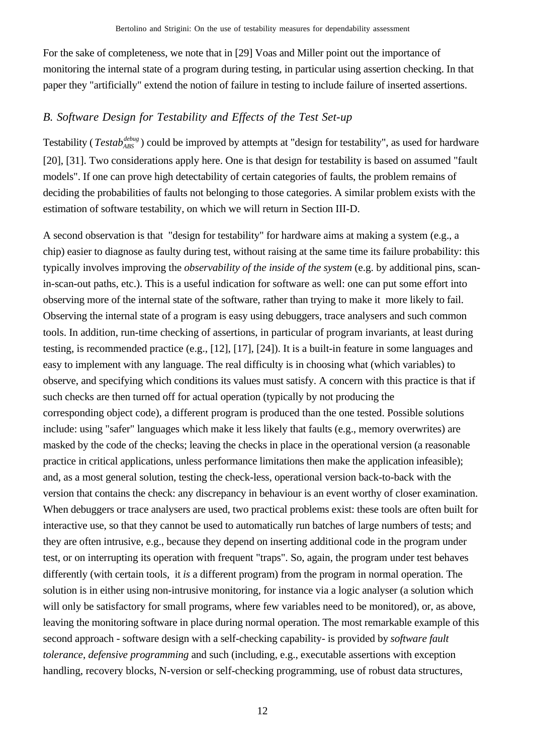For the sake of completeness, we note that in [29] Voas and Miller point out the importance of monitoring the internal state of a program during testing, in particular using assertion checking. In that paper they "artificially" extend the notion of failure in testing to include failure of inserted assertions.

#### *B. Software Design for Testability and Effects of the Test Set-up*

Testability (*Testab<sub>ABS</sub>*) could be improved by attempts at "design for testability", as used for hardware [20], [31]. Two considerations apply here. One is that design for testability is based on assumed "fault" models". If one can prove high detectability of certain categories of faults, the problem remains of deciding the probabilities of faults not belonging to those categories. A similar problem exists with the estimation of software testability, on which we will return in Section III-D.

A second observation is that "design for testability" for hardware aims at making a system (e.g., a chip) easier to diagnose as faulty during test, without raising at the same time its failure probability: this typically involves improving the *observability of the inside of the system* (e.g. by additional pins, scanin-scan-out paths, etc.). This is a useful indication for software as well: one can put some effort into observing more of the internal state of the software, rather than trying to make it more likely to fail. Observing the internal state of a program is easy using debuggers, trace analysers and such common tools. In addition, run-time checking of assertions, in particular of program invariants, at least during testing, is recommended practice (e.g., [12], [17], [24]). It is a built-in feature in some languages and easy to implement with any language. The real difficulty is in choosing what (which variables) to observe, and specifying which conditions its values must satisfy. A concern with this practice is that if such checks are then turned off for actual operation (typically by not producing the corresponding object code), a different program is produced than the one tested. Possible solutions include: using "safer" languages which make it less likely that faults (e.g., memory overwrites) are masked by the code of the checks; leaving the checks in place in the operational version (a reasonable practice in critical applications, unless performance limitations then make the application infeasible); and, as a most general solution, testing the check-less, operational version back-to-back with the version that contains the check: any discrepancy in behaviour is an event worthy of closer examination. When debuggers or trace analysers are used, two practical problems exist: these tools are often built for interactive use, so that they cannot be used to automatically run batches of large numbers of tests; and they are often intrusive, e.g., because they depend on inserting additional code in the program under test, or on interrupting its operation with frequent "traps". So, again, the program under test behaves differently (with certain tools, it *is* a different program) from the program in normal operation. The solution is in either using non-intrusive monitoring, for instance via a logic analyser (a solution which will only be satisfactory for small programs, where few variables need to be monitored), or, as above, leaving the monitoring software in place during normal operation. The most remarkable example of this second approach - software design with a self-checking capability- is provided by *software fault tolerance*, *defensive programming* and such (including, e.g., executable assertions with exception handling, recovery blocks, N-version or self-checking programming, use of robust data structures,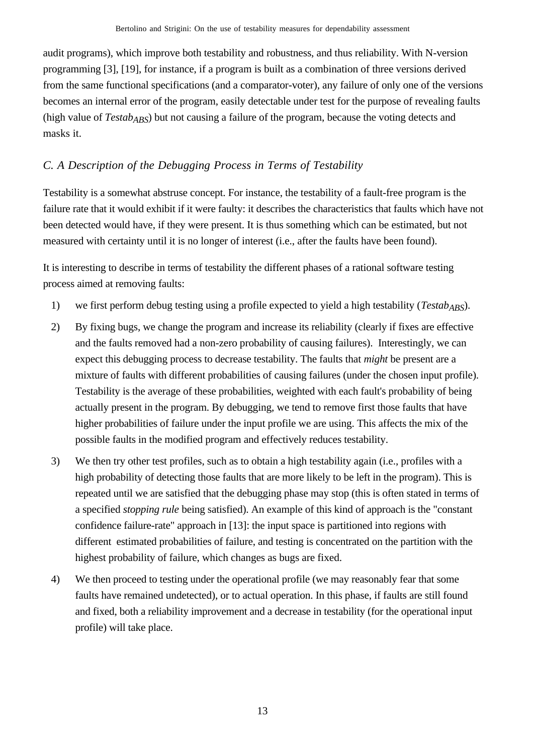audit programs), which improve both testability and robustness, and thus reliability. With N-version programming [3], [19], for instance, if a program is built as a combination of three versions derived from the same functional specifications (and a comparator-voter), any failure of only one of the versions becomes an internal error of the program, easily detectable under test for the purpose of revealing faults (high value of *TestabABS*) but not causing a failure of the program, because the voting detects and masks it.

## *C. A Description of the Debugging Process in Terms of Testability*

Testability is a somewhat abstruse concept. For instance, the testability of a fault-free program is the failure rate that it would exhibit if it were faulty: it describes the characteristics that faults which have not been detected would have, if they were present. It is thus something which can be estimated, but not measured with certainty until it is no longer of interest (i.e., after the faults have been found).

It is interesting to describe in terms of testability the different phases of a rational software testing process aimed at removing faults:

- 1) we first perform debug testing using a profile expected to yield a high testability (*Testab<sub>ABS</sub>*).
- 2) By fixing bugs, we change the program and increase its reliability (clearly if fixes are effective and the faults removed had a non-zero probability of causing failures). Interestingly, we can expect this debugging process to decrease testability. The faults that *might* be present are a mixture of faults with different probabilities of causing failures (under the chosen input profile). Testability is the average of these probabilities, weighted with each fault's probability of being actually present in the program. By debugging, we tend to remove first those faults that have higher probabilities of failure under the input profile we are using. This affects the mix of the possible faults in the modified program and effectively reduces testability.
- 3) We then try other test profiles, such as to obtain a high testability again (i.e., profiles with a high probability of detecting those faults that are more likely to be left in the program). This is repeated until we are satisfied that the debugging phase may stop (this is often stated in terms of a specified *stopping rule* being satisfied). An example of this kind of approach is the "constant confidence failure-rate" approach in [13]: the input space is partitioned into regions with different estimated probabilities of failure, and testing is concentrated on the partition with the highest probability of failure, which changes as bugs are fixed.
- 4) We then proceed to testing under the operational profile (we may reasonably fear that some faults have remained undetected), or to actual operation. In this phase, if faults are still found and fixed, both a reliability improvement and a decrease in testability (for the operational input profile) will take place.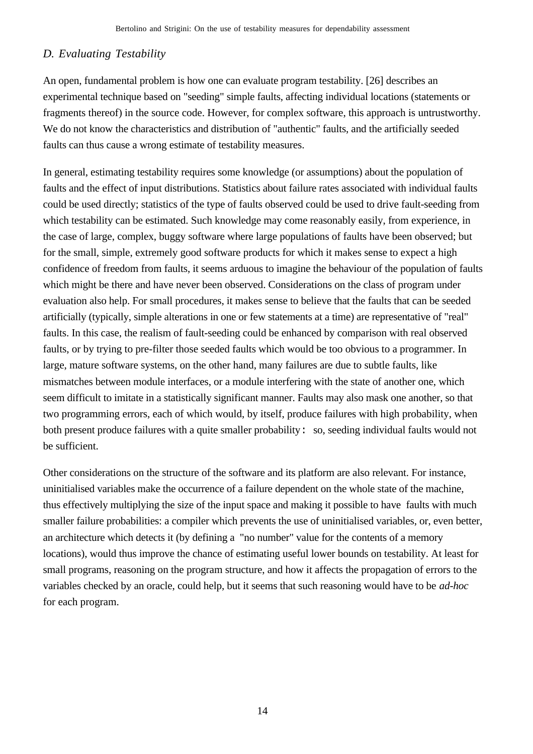#### *D. Evaluating Testability*

An open, fundamental problem is how one can evaluate program testability. [26] describes an experimental technique based on "seeding" simple faults, affecting individual locations (statements or fragments thereof) in the source code. However, for complex software, this approach is untrustworthy. We do not know the characteristics and distribution of "authentic" faults, and the artificially seeded faults can thus cause a wrong estimate of testability measures.

In general, estimating testability requires some knowledge (or assumptions) about the population of faults and the effect of input distributions. Statistics about failure rates associated with individual faults could be used directly; statistics of the type of faults observed could be used to drive fault-seeding from which testability can be estimated. Such knowledge may come reasonably easily, from experience, in the case of large, complex, buggy software where large populations of faults have been observed; but for the small, simple, extremely good software products for which it makes sense to expect a high confidence of freedom from faults, it seems arduous to imagine the behaviour of the population of faults which might be there and have never been observed. Considerations on the class of program under evaluation also help. For small procedures, it makes sense to believe that the faults that can be seeded artificially (typically, simple alterations in one or few statements at a time) are representative of "real" faults. In this case, the realism of fault-seeding could be enhanced by comparison with real observed faults, or by trying to pre-filter those seeded faults which would be too obvious to a programmer. In large, mature software systems, on the other hand, many failures are due to subtle faults, like mismatches between module interfaces, or a module interfering with the state of another one, which seem difficult to imitate in a statistically significant manner. Faults may also mask one another, so that two programming errors, each of which would, by itself, produce failures with high probability, when both present produce failures with a quite smaller probability: so, seeding individual faults would not be sufficient.

Other considerations on the structure of the software and its platform are also relevant. For instance, uninitialised variables make the occurrence of a failure dependent on the whole state of the machine, thus effectively multiplying the size of the input space and making it possible to have faults with much smaller failure probabilities: a compiler which prevents the use of uninitialised variables, or, even better, an architecture which detects it (by defining a "no number" value for the contents of a memory locations), would thus improve the chance of estimating useful lower bounds on testability. At least for small programs, reasoning on the program structure, and how it affects the propagation of errors to the variables checked by an oracle, could help, but it seems that such reasoning would have to be *ad-hoc* for each program.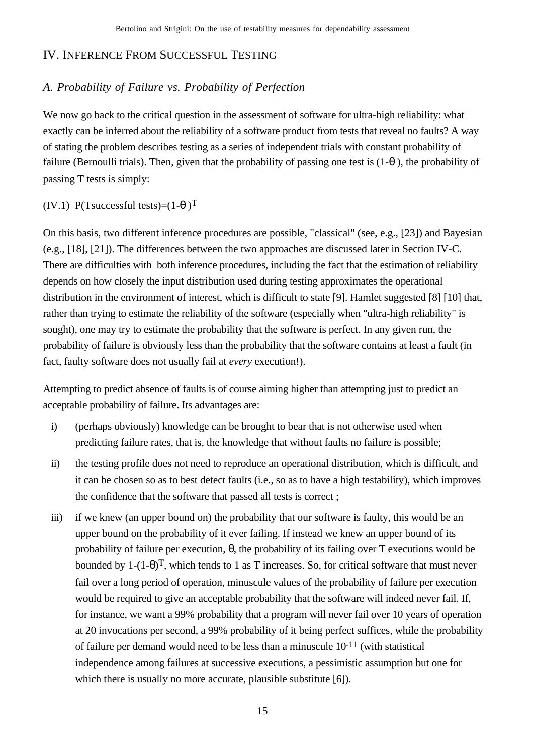#### IV. INFERENCE FROM SUCCESSFUL TESTING

#### *A. Probability of Failure vs. Probability of Perfection*

We now go back to the critical question in the assessment of software for ultra-high reliability: what exactly can be inferred about the reliability of a software product from tests that reveal no faults? A way of stating the problem describes testing as a series of independent trials with constant probability of failure (Bernoulli trials). Then, given that the probability of passing one test is  $(1-\theta)$ , the probability of passing T tests is simply:

#### (IV.1) P(Tsuccessful tests)= $(1-\theta)$ <sup>T</sup>

On this basis, two different inference procedures are possible, "classical" (see, e.g., [23]) and Bayesian (e.g., [18], [21]). The differences between the two approaches are discussed later in Section IV-C. There are difficulties with both inference procedures, including the fact that the estimation of reliability depends on how closely the input distribution used during testing approximates the operational distribution in the environment of interest, which is difficult to state [9]. Hamlet suggested [8] [10] that, rather than trying to estimate the reliability of the software (especially when "ultra-high reliability" is sought), one may try to estimate the probability that the software is perfect. In any given run, the probability of failure is obviously less than the probability that the software contains at least a fault (in fact, faulty software does not usually fail at *every* execution!).

Attempting to predict absence of faults is of course aiming higher than attempting just to predict an acceptable probability of failure. Its advantages are:

- i) (perhaps obviously) knowledge can be brought to bear that is not otherwise used when predicting failure rates, that is, the knowledge that without faults no failure is possible;
- ii) the testing profile does not need to reproduce an operational distribution, which is difficult, and it can be chosen so as to best detect faults (i.e., so as to have a high testability), which improves the confidence that the software that passed all tests is correct ;
- iii) if we knew (an upper bound on) the probability that our software is faulty, this would be an upper bound on the probability of it ever failing. If instead we knew an upper bound of its probability of failure per execution,  $\theta$ , the probability of its failing over T executions would be bounded by  $1-(1-\theta)^T$ , which tends to 1 as T increases. So, for critical software that must never fail over a long period of operation, minuscule values of the probability of failure per execution would be required to give an acceptable probability that the software will indeed never fail. If, for instance, we want a 99% probability that a program will never fail over 10 years of operation at 20 invocations per second, a 99% probability of it being perfect suffices, while the probability of failure per demand would need to be less than a minuscule 10-11 (with statistical independence among failures at successive executions, a pessimistic assumption but one for which there is usually no more accurate, plausible substitute [6]).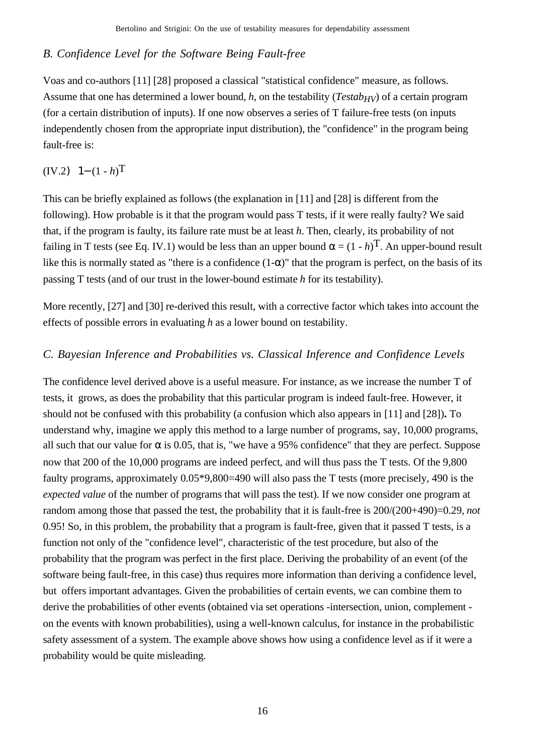#### *B. Confidence Level for the Software Being Fault-free*

Voas and co-authors [11] [28] proposed a classical "statistical confidence" measure, as follows. Assume that one has determined a lower bound,  $h$ , on the testability (*Testab<sub>HV</sub>*) of a certain program (for a certain distribution of inputs). If one now observes a series of T failure-free tests (on inputs independently chosen from the appropriate input distribution), the "confidence" in the program being fault-free is:

## (IV.2) 1− (1 - *h*)T

This can be briefly explained as follows (the explanation in [11] and [28] is different from the following). How probable is it that the program would pass T tests, if it were really faulty? We said that, if the program is faulty, its failure rate must be at least *h*. Then, clearly, its probability of not failing in T tests (see Eq. IV.1) would be less than an upper bound  $\alpha = (1 - h)^T$ . An upper-bound result like this is normally stated as "there is a confidence  $(1-\alpha)$ " that the program is perfect, on the basis of its passing T tests (and of our trust in the lower-bound estimate *h* for its testability).

More recently, [27] and [30] re-derived this result, with a corrective factor which takes into account the effects of possible errors in evaluating *h* as a lower bound on testability.

#### *C. Bayesian Inference and Probabilities vs. Classical Inference and Confidence Levels*

The confidence level derived above is a useful measure. For instance, as we increase the number T of tests, it grows, as does the probability that this particular program is indeed fault-free. However, it should not be confused with this probability (a confusion which also appears in [11] and [28])**.** To understand why, imagine we apply this method to a large number of programs, say, 10,000 programs, all such that our value for  $\alpha$  is 0.05, that is, "we have a 95% confidence" that they are perfect. Suppose now that 200 of the 10,000 programs are indeed perfect, and will thus pass the T tests. Of the 9,800 faulty programs, approximately 0.05\*9,800=490 will also pass the T tests (more precisely, 490 is the *expected value* of the number of programs that will pass the test). If we now consider one program at random among those that passed the test, the probability that it is fault-free is 200/(200+490)=0.29, *not* 0.95! So, in this problem, the probability that a program is fault-free, given that it passed T tests, is a function not only of the "confidence level", characteristic of the test procedure, but also of the probability that the program was perfect in the first place. Deriving the probability of an event (of the software being fault-free, in this case) thus requires more information than deriving a confidence level, but offers important advantages. Given the probabilities of certain events, we can combine them to derive the probabilities of other events (obtained via set operations -intersection, union, complement on the events with known probabilities), using a well-known calculus, for instance in the probabilistic safety assessment of a system. The example above shows how using a confidence level as if it were a probability would be quite misleading.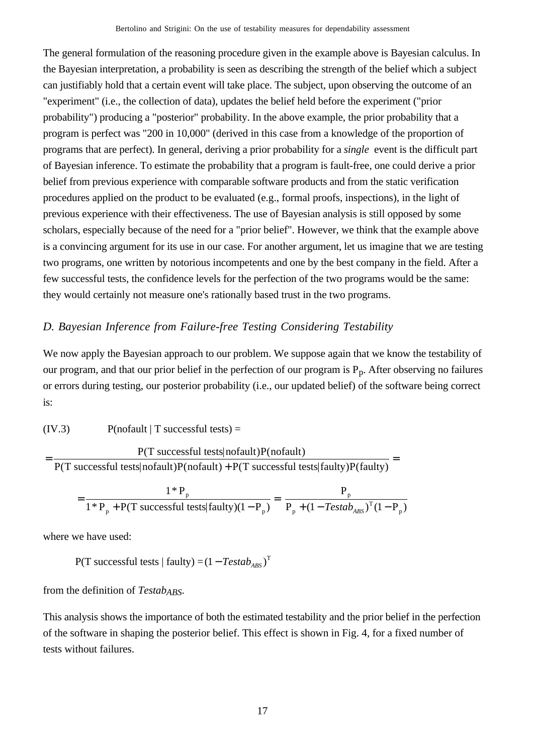The general formulation of the reasoning procedure given in the example above is Bayesian calculus. In the Bayesian interpretation, a probability is seen as describing the strength of the belief which a subject can justifiably hold that a certain event will take place. The subject, upon observing the outcome of an "experiment" (i.e., the collection of data), updates the belief held before the experiment ("prior probability") producing a "posterior" probability. In the above example, the prior probability that a program is perfect was "200 in 10,000" (derived in this case from a knowledge of the proportion of programs that are perfect). In general, deriving a prior probability for a *single* event is the difficult part of Bayesian inference. To estimate the probability that a program is fault-free, one could derive a prior belief from previous experience with comparable software products and from the static verification procedures applied on the product to be evaluated (e.g., formal proofs, inspections), in the light of previous experience with their effectiveness. The use of Bayesian analysis is still opposed by some scholars, especially because of the need for a "prior belief". However, we think that the example above is a convincing argument for its use in our case. For another argument, let us imagine that we are testing two programs, one written by notorious incompetents and one by the best company in the field. After a few successful tests, the confidence levels for the perfection of the two programs would be the same: they would certainly not measure one's rationally based trust in the two programs.

#### *D. Bayesian Inference from Failure-free Testing Considering Testability*

We now apply the Bayesian approach to our problem. We suppose again that we know the testability of our program, and that our prior belief in the perfection of our program is Pp. After observing no failures or errors during testing, our posterior probability (i.e., our updated belief) of the software being correct is:

 $(IV.3)$  P(nofault | T successful tests) =

 $= \frac{P(T \text{ successful tests} | \text{nofault}) P(\text{nofault})}{P(T \text{ successful tests} | \text{nofault}) + P(T \text{ successful tests} | \text{fully}) P(\text{ faulty})} =$  $=\frac{1*P_p}{1+P_p}$  $=\frac{P_p}{P_p}$ 

 $1*P_p + P(T$  successful tests|faulty)(1– $P_p$ )  $P_p + (1 - Testab_{ABS})^T (1 - P_p)$ 

where we have used:

P(T successful tests | faulty) =  $(1 - Testab_{ABS})^T$ 

from the definition of *Testab<sub>ABS</sub>*.

This analysis shows the importance of both the estimated testability and the prior belief in the perfection of the software in shaping the posterior belief. This effect is shown in Fig. 4, for a fixed number of tests without failures.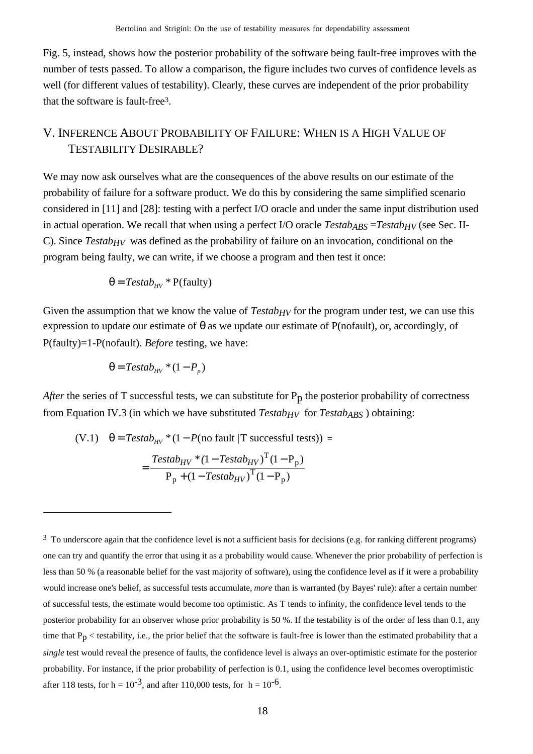Fig. 5, instead, shows how the posterior probability of the software being fault-free improves with the number of tests passed. To allow a comparison, the figure includes two curves of confidence levels as well (for different values of testability). Clearly, these curves are independent of the prior probability that the software is fault-free3.

## V. INFERENCE ABOUT PROBABILITY OF FAILURE: WHEN IS A HIGH VALUE OF TESTABILITY DESIRABLE?

We may now ask ourselves what are the consequences of the above results on our estimate of the probability of failure for a software product. We do this by considering the same simplified scenario considered in [11] and [28]: testing with a perfect I/O oracle and under the same input distribution used in actual operation. We recall that when using a perfect I/O oracle  $Testab_{ABS} = Testab_{HV}$  (see Sec. II-C). Since *Testab<sub>HV</sub>* was defined as the probability of failure on an invocation, conditional on the program being faulty, we can write, if we choose a program and then test it once:

$$
\theta = Testab_{HV} * P(faulty)
$$

Given the assumption that we know the value of  $Testab_{HV}$  for the program under test, we can use this expression to update our estimate of  $\theta$  as we update our estimate of P(nofault), or, accordingly, of P(faulty)=1-P(nofault). *Before* testing, we have:

$$
\theta = Testab_{HV} * (1 - P_p)
$$

*After* the series of T successful tests, we can substitute for P<sub>p</sub> the posterior probability of correctness from Equation IV.3 (in which we have substituted *Testab<sub>HV</sub>* for *Testab<sub>ABS</sub>* ) obtaining:

(V.1) 
$$
\theta = Testab_{HV} * (1 - P(no fault | T successful tests)) =
$$

$$
= \frac{Testab_{HV} * (1 - Testab_{HV})^T (1 - P_p)}{P_p + (1 - Testab_{HV})^T (1 - P_p)}
$$

<sup>&</sup>lt;sup>3</sup> To underscore again that the confidence level is not a sufficient basis for decisions (e.g. for ranking different programs) one can try and quantify the error that using it as a probability would cause. Whenever the prior probability of perfection is less than 50 % (a reasonable belief for the vast majority of software), using the confidence level as if it were a probability would increase one's belief, as successful tests accumulate, *more* than is warranted (by Bayes' rule): after a certain number of successful tests, the estimate would become too optimistic. As T tends to infinity, the confidence level tends to the posterior probability for an observer whose prior probability is 50 %. If the testability is of the order of less than 0.1, any time that  $P_p$  < testability, i.e., the prior belief that the software is fault-free is lower than the estimated probability that a *single* test would reveal the presence of faults, the confidence level is always an over-optimistic estimate for the posterior probability. For instance, if the prior probability of perfection is 0.1, using the confidence level becomes overoptimistic after 118 tests, for  $h = 10^{-3}$ , and after 110,000 tests, for  $h = 10^{-6}$ .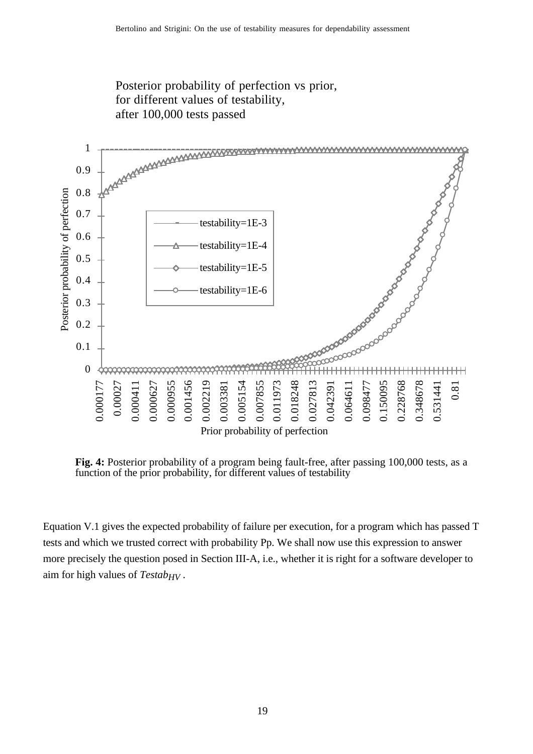Posterior probability of perfection vs prior, for different values of testability, after 100,000 tests passed



**Fig. 4:** Posterior probability of a program being fault-free, after passing 100,000 tests, as a function of the prior probability, for different values of testability

Equation V.1 gives the expected probability of failure per execution, for a program which has passed T tests and which we trusted correct with probability Pp. We shall now use this expression to answer more precisely the question posed in Section III-A, i.e., whether it is right for a software developer to aim for high values of *Testab<sub>HV</sub>*.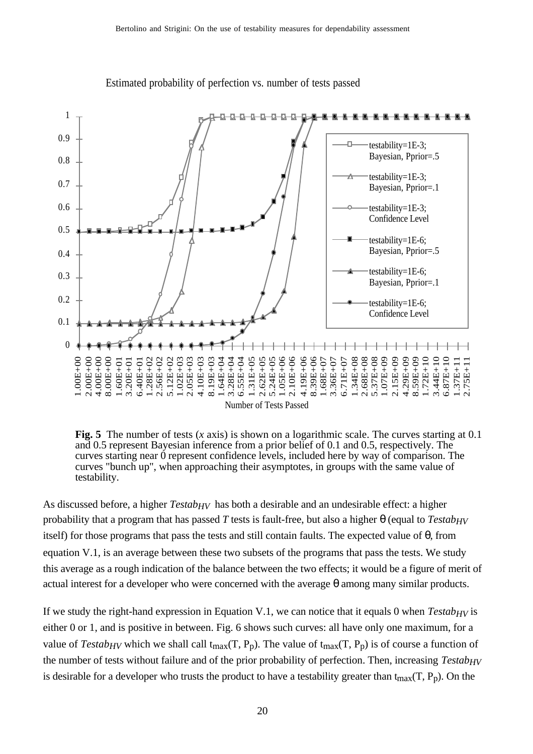

Estimated probability of perfection vs. number of tests passed

**Fig. 5** The number of tests (*x* axis) is shown on a logarithmic scale. The curves starting at 0.1 and 0.5 represent Bayesian inference from a prior belief of 0.1 and 0.5, respectively. The curves starting near 0 represent confidence levels, included here by way of comparison. The curves "bunch up", when approaching their asymptotes, in groups with the same value of testability.

As discussed before, a higher  $Testab_{HV}$  has both a desirable and an undesirable effect: a higher probability that a program that has passed *T* tests is fault-free, but also a higher  $\theta$  (equal to *Testab<sub>HV</sub>* itself) for those programs that pass the tests and still contain faults. The expected value of  $\theta$ , from equation V.1, is an average between these two subsets of the programs that pass the tests. We study this average as a rough indication of the balance between the two effects; it would be a figure of merit of actual interest for a developer who were concerned with the average  $\theta$  among many similar products.

If we study the right-hand expression in Equation V.1, we can notice that it equals 0 when  $Testab_{HV}$  is either 0 or 1, and is positive in between. Fig. 6 shows such curves: all have only one maximum, for a value of *Testab<sub>HV</sub>* which we shall call t<sub>max</sub>(T, P<sub>p</sub>). The value of t<sub>max</sub>(T, P<sub>p</sub>) is of course a function of the number of tests without failure and of the prior probability of perfection. Then, increasing *Testab<sub>HV</sub>* is desirable for a developer who trusts the product to have a testability greater than  $t_{max}(T, P_p)$ . On the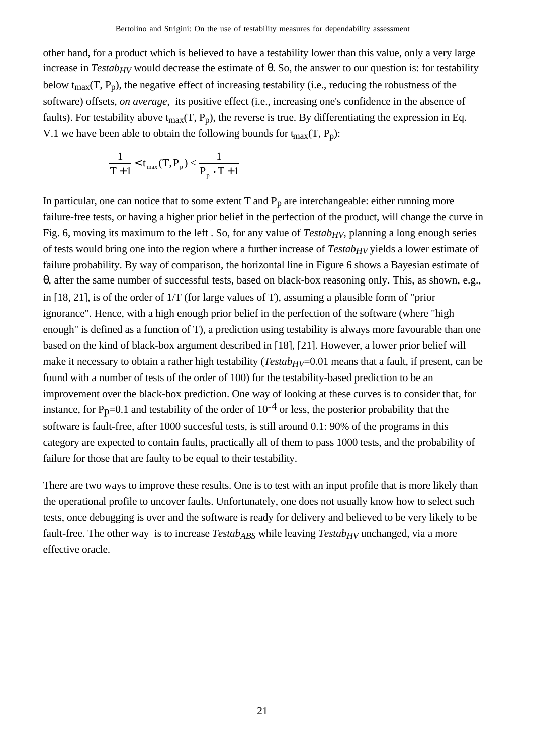other hand, for a product which is believed to have a testability lower than this value, only a very large increase in  $Testab_{HV}$  would decrease the estimate of  $\theta$ . So, the answer to our question is: for testability below  $t_{max}(T, P_p)$ , the negative effect of increasing testability (i.e., reducing the robustness of the software) offsets, *on average*, its positive effect (i.e., increasing one's confidence in the absence of faults). For testability above  $t_{max}(T, P_p)$ , the reverse is true. By differentiating the expression in Eq. V.1 we have been able to obtain the following bounds for  $t_{max}(T, P_p)$ :

$$
\frac{1}{T+1} < t_{\max}(T, P_p) < \frac{1}{P_p \cdot T + 1}
$$

In particular, one can notice that to some extent  $T$  and  $P_p$  are interchangeable: either running more failure-free tests, or having a higher prior belief in the perfection of the product, will change the curve in Fig. 6, moving its maximum to the left. So, for any value of  $Testab_{HV}$ , planning a long enough series of tests would bring one into the region where a further increase of *Testab<sub>HV</sub>* yields a lower estimate of failure probability. By way of comparison, the horizontal line in Figure 6 shows a Bayesian estimate of θ, after the same number of successful tests, based on black-box reasoning only. This, as shown, e.g., in [18, 21], is of the order of 1/T (for large values of T), assuming a plausible form of "prior ignorance". Hence, with a high enough prior belief in the perfection of the software (where "high enough" is defined as a function of T), a prediction using testability is always more favourable than one based on the kind of black-box argument described in [18], [21]. However, a lower prior belief will make it necessary to obtain a rather high testability (*Testab<sub>HV</sub>*=0.01 means that a fault, if present, can be found with a number of tests of the order of 100) for the testability-based prediction to be an improvement over the black-box prediction. One way of looking at these curves is to consider that, for instance, for  $P_p=0.1$  and testability of the order of  $10^{-4}$  or less, the posterior probability that the software is fault-free, after 1000 succesful tests, is still around 0.1: 90% of the programs in this category are expected to contain faults, practically all of them to pass 1000 tests, and the probability of failure for those that are faulty to be equal to their testability.

There are two ways to improve these results. One is to test with an input profile that is more likely than the operational profile to uncover faults. Unfortunately, one does not usually know how to select such tests, once debugging is over and the software is ready for delivery and believed to be very likely to be fault-free. The other way is to increase *Testab<sub>ABS</sub>* while leaving *Testab<sub>HV</sub>* unchanged, via a more effective oracle.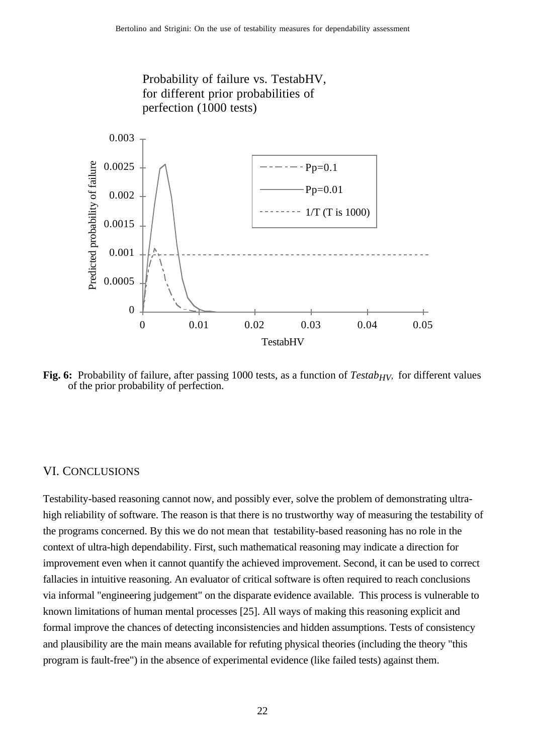

Fig. 6: Probability of failure, after passing 1000 tests, as a function of *Testab<sub>HV</sub>*, for different values of the prior probability of perfection.

#### VI. CONCLUSIONS

Testability-based reasoning cannot now, and possibly ever, solve the problem of demonstrating ultrahigh reliability of software. The reason is that there is no trustworthy way of measuring the testability of the programs concerned. By this we do not mean that testability-based reasoning has no role in the context of ultra-high dependability. First, such mathematical reasoning may indicate a direction for improvement even when it cannot quantify the achieved improvement. Second, it can be used to correct fallacies in intuitive reasoning. An evaluator of critical software is often required to reach conclusions via informal "engineering judgement" on the disparate evidence available. This process is vulnerable to known limitations of human mental processes [25]. All ways of making this reasoning explicit and formal improve the chances of detecting inconsistencies and hidden assumptions. Tests of consistency and plausibility are the main means available for refuting physical theories (including the theory "this program is fault-free") in the absence of experimental evidence (like failed tests) against them.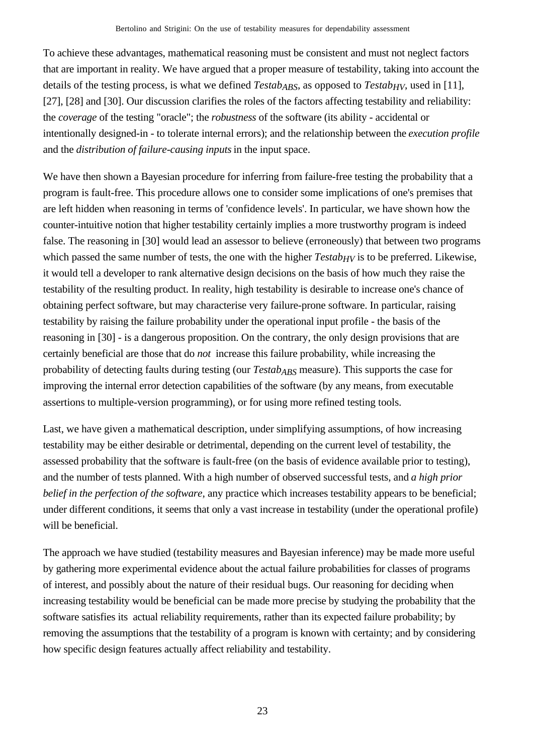To achieve these advantages, mathematical reasoning must be consistent and must not neglect factors that are important in reality. We have argued that a proper measure of testability, taking into account the details of the testing process, is what we defined *Testab<sub>ABS</sub>*, as opposed to *Testab<sub>HV</sub>*, used in [11], [27], [28] and [30]. Our discussion clarifies the roles of the factors affecting testability and reliability: the *coverage* of the testing "oracle"; the *robustness* of the software (its ability - accidental or intentionally designed-in - to tolerate internal errors); and the relationship between the *execution profile* and the *distribution of failure-causing inputs* in the input space.

We have then shown a Bayesian procedure for inferring from failure-free testing the probability that a program is fault-free. This procedure allows one to consider some implications of one's premises that are left hidden when reasoning in terms of 'confidence levels'. In particular, we have shown how the counter-intuitive notion that higher testability certainly implies a more trustworthy program is indeed false. The reasoning in [30] would lead an assessor to believe (erroneously) that between two programs which passed the same number of tests, the one with the higher  $Testab_{HV}$  is to be preferred. Likewise, it would tell a developer to rank alternative design decisions on the basis of how much they raise the testability of the resulting product. In reality, high testability is desirable to increase one's chance of obtaining perfect software, but may characterise very failure-prone software. In particular, raising testability by raising the failure probability under the operational input profile - the basis of the reasoning in [30] - is a dangerous proposition. On the contrary, the only design provisions that are certainly beneficial are those that do *not* increase this failure probability, while increasing the probability of detecting faults during testing (our *Testab<sub>ABS</sub>* measure). This supports the case for improving the internal error detection capabilities of the software (by any means, from executable assertions to multiple-version programming), or for using more refined testing tools.

Last, we have given a mathematical description, under simplifying assumptions, of how increasing testability may be either desirable or detrimental, depending on the current level of testability, the assessed probability that the software is fault-free (on the basis of evidence available prior to testing), and the number of tests planned. With a high number of observed successful tests, and *a high prior belief in the perfection of the software*, any practice which increases testability appears to be beneficial; under different conditions, it seems that only a vast increase in testability (under the operational profile) will be beneficial.

The approach we have studied (testability measures and Bayesian inference) may be made more useful by gathering more experimental evidence about the actual failure probabilities for classes of programs of interest, and possibly about the nature of their residual bugs. Our reasoning for deciding when increasing testability would be beneficial can be made more precise by studying the probability that the software satisfies its actual reliability requirements, rather than its expected failure probability; by removing the assumptions that the testability of a program is known with certainty; and by considering how specific design features actually affect reliability and testability.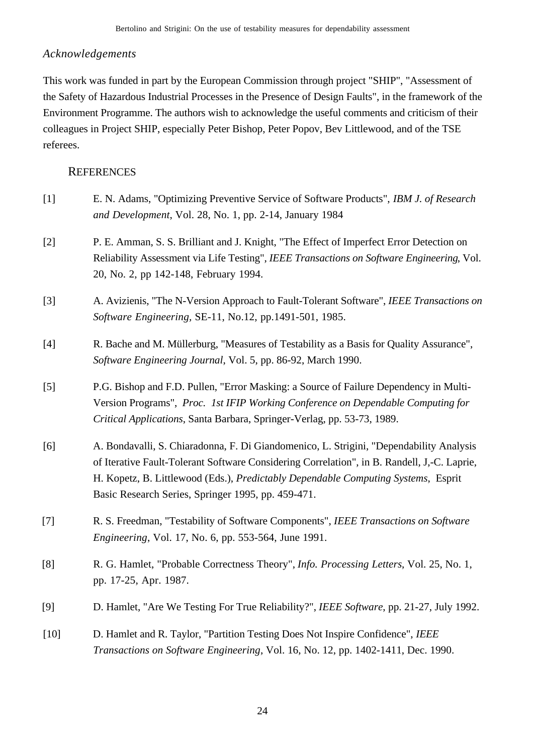#### *Acknowledgements*

This work was funded in part by the European Commission through project "SHIP", "Assessment of the Safety of Hazardous Industrial Processes in the Presence of Design Faults", in the framework of the Environment Programme. The authors wish to acknowledge the useful comments and criticism of their colleagues in Project SHIP, especially Peter Bishop, Peter Popov, Bev Littlewood, and of the TSE referees.

#### **REFERENCES**

- [1] E. N. Adams, "Optimizing Preventive Service of Software Products", *IBM J. of Research and Development*, Vol. 28, No. 1, pp. 2-14, January 1984
- [2] P. E. Amman, S. S. Brilliant and J. Knight, "The Effect of Imperfect Error Detection on Reliability Assessment via Life Testing", *IEEE Transactions on Software Engineering*, Vol. 20, No. 2, pp 142-148, February 1994.
- [3] A. Avizienis, "The N-Version Approach to Fault-Tolerant Software", *IEEE Transactions on Software Engineering,* SE-11, No.12, pp.1491-501, 1985.
- [4] R. Bache and M. Müllerburg, "Measures of Testability as a Basis for Quality Assurance", *Software Engineering Journal*, Vol. 5, pp. 86-92, March 1990.
- [5] P.G. Bishop and F.D. Pullen, "Error Masking: a Source of Failure Dependency in Multi-Version Programs", *Proc. 1st IFIP Working Conference on Dependable Computing for Critical Applications*, Santa Barbara, Springer-Verlag, pp. 53-73, 1989.
- [6] A. Bondavalli, S. Chiaradonna, F. Di Giandomenico, L. Strigini, "Dependability Analysis of Iterative Fault-Tolerant Software Considering Correlation", in B. Randell, J,-C. Laprie, H. Kopetz, B. Littlewood (Eds.), *Predictably Dependable Computing Systems*, Esprit Basic Research Series, Springer 1995, pp. 459-471.
- [7] R. S. Freedman, "Testability of Software Components", *IEEE Transactions on Software Engineering*, Vol. 17, No. 6, pp. 553-564, June 1991.
- [8] R. G. Hamlet, "Probable Correctness Theory", *Info. Processing Letters*, Vol. 25, No. 1, pp. 17-25, Apr. 1987.
- [9] D. Hamlet, "Are We Testing For True Reliability?", *IEEE Software*, pp. 21-27, July 1992.
- [10] D. Hamlet and R. Taylor, "Partition Testing Does Not Inspire Confidence", *IEEE Transactions on Software Engineering*, Vol. 16, No. 12, pp. 1402-1411, Dec. 1990.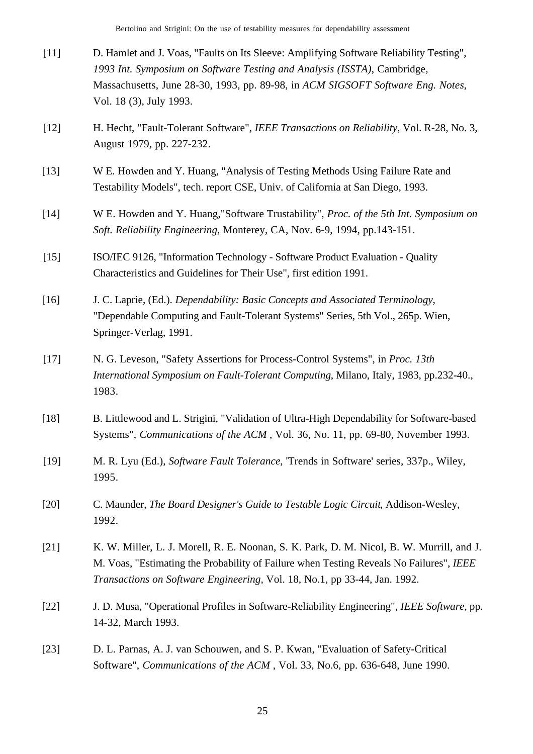- [11] D. Hamlet and J. Voas, "Faults on Its Sleeve: Amplifying Software Reliability Testing", *1993 Int. Symposium on Software Testing and Analysis (ISSTA)*, Cambridge, Massachusetts, June 28-30, 1993, pp. 89-98, in *ACM SIGSOFT Software Eng. Notes*, Vol. 18 (3), July 1993.
- [12] H. Hecht, "Fault-Tolerant Software", *IEEE Transactions on Reliability,* Vol. R-28, No. 3, August 1979, pp. 227-232.
- [13] W E. Howden and Y. Huang, "Analysis of Testing Methods Using Failure Rate and Testability Models", tech. report CSE, Univ. of California at San Diego, 1993.
- [14] W E. Howden and Y. Huang,"Software Trustability", *Proc. of the 5th Int. Symposium on Soft. Reliability Engineering*, Monterey, CA, Nov. 6-9, 1994, pp.143-151.
- [15] ISO/IEC 9126, "Information Technology Software Product Evaluation Quality Characteristics and Guidelines for Their Use", first edition 1991.
- [16] J. C. Laprie, (Ed.). *Dependability: Basic Concepts and Associated Terminology*, "Dependable Computing and Fault-Tolerant Systems" Series, 5th Vol., 265p. Wien, Springer-Verlag, 1991.
- [17] N. G. Leveson, "Safety Assertions for Process-Control Systems", in *Proc. 13th International Symposium on Fault-Tolerant Computing*, Milano, Italy, 1983, pp.232-40., 1983.
- [18] B. Littlewood and L. Strigini, "Validation of Ultra-High Dependability for Software-based Systems", *Communications of the ACM* , Vol. 36, No. 11, pp. 69-80, November 1993.
- [19] M. R. Lyu (Ed.), *Software Fault Tolerance*, 'Trends in Software' series, 337p., Wiley, 1995.
- [20] C. Maunder, *The Board Designer's Guide to Testable Logic Circuit*, Addison-Wesley, 1992.
- [21] K. W. Miller, L. J. Morell, R. E. Noonan, S. K. Park, D. M. Nicol, B. W. Murrill, and J. M. Voas, "Estimating the Probability of Failure when Testing Reveals No Failures", *IEEE Transactions on Software Engineering*, Vol. 18, No.1, pp 33-44, Jan. 1992.
- [22] J. D. Musa, "Operational Profiles in Software-Reliability Engineering", *IEEE Software*, pp. 14-32, March 1993.
- [23] D. L. Parnas, A. J. van Schouwen, and S. P. Kwan, "Evaluation of Safety-Critical Software", *Communications of the ACM* , Vol. 33, No.6, pp. 636-648, June 1990.